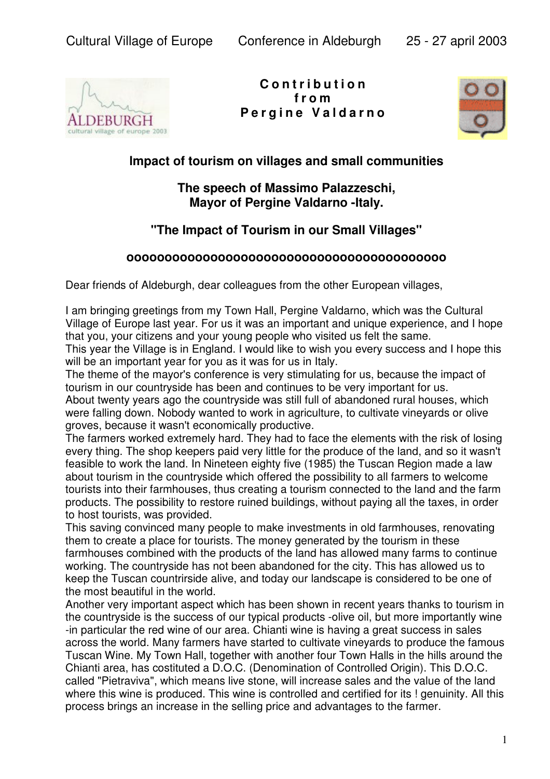

**C o n t r i b u t i o n f r o m P e r g i n e V a l d a r n o**



## **lmpact of tourism on villages and small communities**

## **The speech of Massimo Palazzeschi, Mayor of Pergine Valdarno -Italy.**

## **"The Impact of Tourism in our Small Villages"**

## **oooooooooooooooooooooooooooooooooooooooooo**

Dear friends of Aldeburgh, dear colleagues from the other European villages,

I am bringing greetings from my Town Hall, Pergine Valdarno, which was the Cultural Village of Europe last year. For us it was an important and unique experience, and I hope that you, your citizens and your young people who visited us felt the same.

This year the Village is in England. I would like to wish you every success and I hope this will be an important year for you as it was for us in Italy.

The theme of the mayor's conference is very stimulating for us, because the impact of tourism in our countryside has been and continues to be very important for us. About twenty years ago the countryside was still full of abandoned rural houses, which

were falling down. Nobody wanted to work in agriculture, to cultivate vineyards or olive groves, because it wasn't economically productive.

The farmers worked extremely hard. They had to face the elements with the risk of losing every thing. The shop keepers paid very little for the produce of the land, and so it wasn't feasible to work the land. In Nineteen eighty five (1985) the Tuscan Region made a law about tourism in the countryside which offered the possibility to all farmers to welcome tourists into their farmhouses, thus creating a tourism connected to the land and the farm products. The possibility to restore ruined buildings, without paying all the taxes, in order to host tourists, was provided.

This saving convinced many people to make investments in old farmhouses, renovating them to create a place for tourists. The money generated by the tourism in these farmhouses combined with the products of the land has alIowed many farms to continue working. The countryside has not been abandoned for the city. This has allowed us to keep the Tuscan countrirside alive, and today our landscape is considered to be one of the most beautiful in the world.

Another very important aspect which has been shown in recent years thanks to tourism in the countryside is the success of our typical products -olive oil, but more importantly wine -in particular the red wine of our area. Chianti wine is having a great success in sales across the world. Many farmers have started to cultivate vineyards to produce the famous Tuscan Wine. My Town Hall, together with another four Town Halls in the hills around the Chianti area, has costituted a D.O.C. (Denomination of Controlled Origin). This D.O.C. called "Pietraviva", which means live stone, will increase sales and the value of the land where this wine is produced. This wine is controlled and certified for its ! genuinity. All this process brings an increase in the selling price and advantages to the farmer.